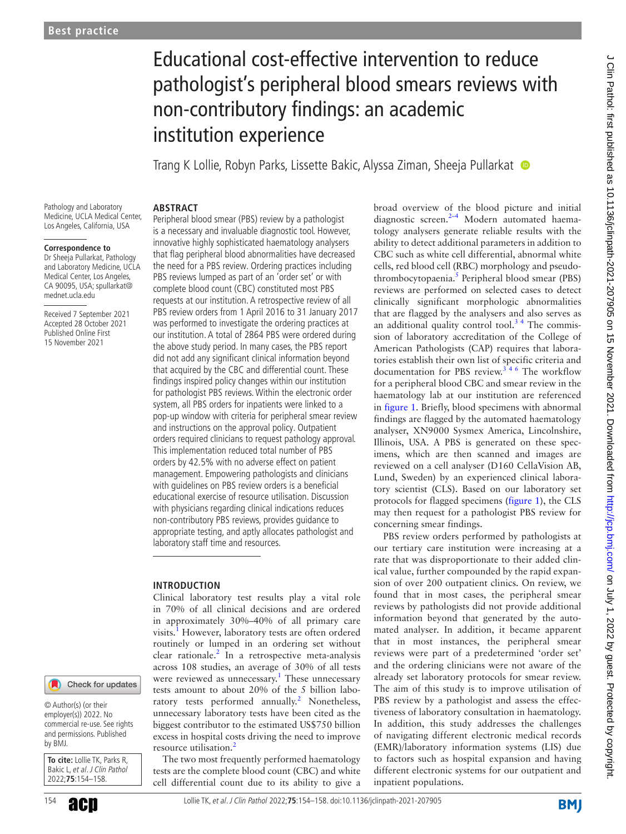# Educational cost-effective intervention to reduce pathologist's peripheral blood smears reviews with non-contributory findings: an academic institution experience

Trang K Lollie, Robyn Parks, Lissette Bakic, Alyssa Ziman, Sheeja Pullarkat

Pathology and Laboratory Medicine, UCLA Medical Center, Los Angeles, California, USA

**ABSTRACT**

#### **Correspondence to**

Dr Sheeja Pullarkat, Pathology and Laboratory Medicine, UCLA Medical Center, Los Angeles, CA 90095, USA; spullarkat@ mednet.ucla.edu

Received 7 September 2021 Accepted 28 October 2021 Published Online First 15 November 2021

## Check for updates

© Author(s) (or their employer(s)) 2022. No commercial re-use. See rights and permissions. Published by BMJ.

**To cite:** Lollie TK, Parks R, Bakic L, et al. J Clin Pathol 2022;**75**:154–158.

Peripheral blood smear (PBS) review by a pathologist is a necessary and invaluable diagnostic tool. However, innovative highly sophisticated haematology analysers that flag peripheral blood abnormalities have decreased the need for a PBS review. Ordering practices including PBS reviews lumped as part of an 'order set' or with complete blood count (CBC) constituted most PBS requests at our institution. A retrospective review of all PBS review orders from 1 April 2016 to 31 January 2017 was performed to investigate the ordering practices at our institution. A total of 2864 PBS were ordered during the above study period. In many cases, the PBS report did not add any significant clinical information beyond that acquired by the CBC and differential count. These findings inspired policy changes within our institution for pathologist PBS reviews. Within the electronic order system, all PBS orders for inpatients were linked to a pop-up window with criteria for peripheral smear review and instructions on the approval policy. Outpatient orders required clinicians to request pathology approval. This implementation reduced total number of PBS orders by 42.5% with no adverse effect on patient management. Empowering pathologists and clinicians with guidelines on PBS review orders is a beneficial educational exercise of resource utilisation. Discussion with physicians regarding clinical indications reduces non-contributory PBS reviews, provides guidance to appropriate testing, and aptly allocates pathologist and laboratory staff time and resources.

#### **INTRODUCTION**

Clinical laboratory test results play a vital role in 70% of all clinical decisions and are ordered in approximately 30%–40% of all primary care visits.<sup>[1](#page-4-0)</sup> However, laboratory tests are often ordered routinely or lumped in an ordering set without clear rationale. $\frac{2}{\pi}$  $\frac{2}{\pi}$  $\frac{2}{\pi}$  In a retrospective meta-analysis across 108 studies, an average of 30% of all tests were reviewed as unnecessary.<sup>[1](#page-4-0)</sup> These unnecessary tests amount to about 20% of the 5 billion laboratory tests performed annually.<sup>2</sup> Nonetheless, unnecessary laboratory tests have been cited as the biggest contributor to the estimated US\$750 billion excess in hospital costs driving the need to improve resource utilisation.<sup>[2](#page-4-1)</sup>

The two most frequently performed haematology tests are the complete blood count (CBC) and white cell differential count due to its ability to give a broad overview of the blood picture and initial diagnostic screen.<sup>2-4</sup> Modern automated haematology analysers generate reliable results with the ability to detect additional parameters in addition to CBC such as white cell differential, abnormal white cells, red blood cell (RBC) morphology and pseudo-thrombocytopaenia.<sup>[5](#page-4-2)</sup> Peripheral blood smear (PBS) reviews are performed on selected cases to detect clinically significant morphologic abnormalities that are flagged by the analysers and also serves as an additional quality control tool. $3<sup>4</sup>$  The commission of laboratory accreditation of the College of American Pathologists (CAP) requires that laboratories establish their own list of specific criteria and documentation for PBS review.<sup>346</sup> The workflow for a peripheral blood CBC and smear review in the haematology lab at our institution are referenced in [figure](#page-1-0) 1. Briefly, blood specimens with abnormal findings are flagged by the automated haematology analyser, XN9000 Sysmex America, Lincolnshire, Illinois, USA. A PBS is generated on these specimens, which are then scanned and images are reviewed on a cell analyser (D160 CellaVision AB, Lund, Sweden) by an experienced clinical laboratory scientist (CLS). Based on our laboratory set protocols for flagged specimens ([figure](#page-1-0) 1), the CLS may then request for a pathologist PBS review for concerning smear findings.

PBS review orders performed by pathologists at our tertiary care institution were increasing at a rate that was disproportionate to their added clinical value, further compounded by the rapid expansion of over 200 outpatient clinics. On review, we found that in most cases, the peripheral smear reviews by pathologists did not provide additional information beyond that generated by the automated analyser. In addition, it became apparent that in most instances, the peripheral smear reviews were part of a predetermined 'order set' and the ordering clinicians were not aware of the already set laboratory protocols for smear review. The aim of this study is to improve utilisation of PBS review by a pathologist and assess the effectiveness of laboratory consultation in haematology. In addition, this study addresses the challenges of navigating different electronic medical records (EMR)/laboratory information systems (LIS) due to factors such as hospital expansion and having different electronic systems for our outpatient and inpatient populations.

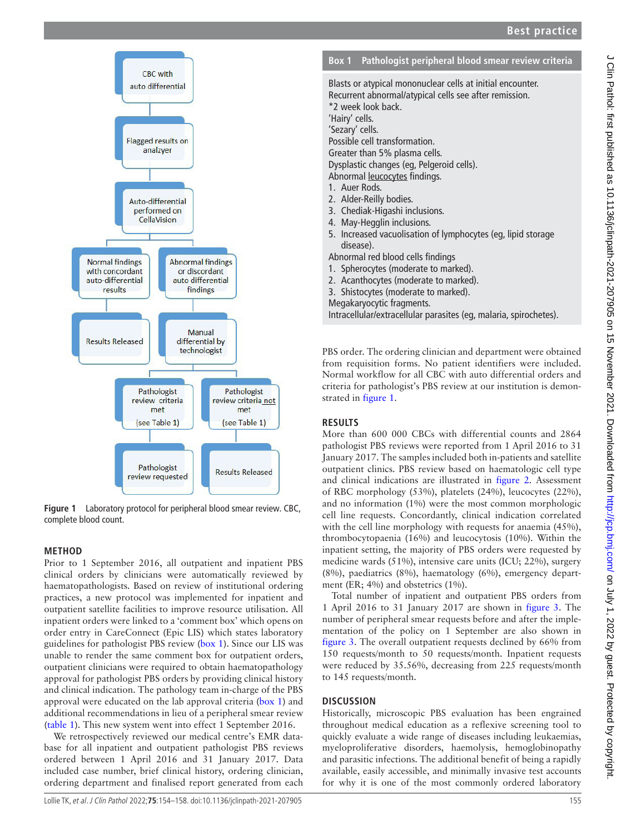

<span id="page-1-0"></span>

## **METHOD**

Prior to 1 September 2016, all outpatient and inpatient PBS clinical orders by clinicians were automatically reviewed by haematopathologists. Based on review of institutional ordering practices, a new protocol was implemented for inpatient and outpatient satellite facilities to improve resource utilisation. All inpatient orders were linked to a 'comment box' which opens on order entry in CareConnect (Epic LIS) which states laboratory guidelines for pathologist PBS review ([box](#page-1-1) 1). Since our LIS was unable to render the same comment box for outpatient orders, outpatient clinicians were required to obtain haematopathology approval for pathologist PBS orders by providing clinical history and clinical indication. The pathology team in-charge of the PBS approval were educated on the lab approval criteria ([box](#page-1-1) 1) and additional recommendations in lieu of a peripheral smear review ([table](#page-2-0) 1). This new system went into effect 1 September 2016.

We retrospectively reviewed our medical centre's EMR database for all inpatient and outpatient pathologist PBS reviews ordered between 1 April 2016 and 31 January 2017. Data included case number, brief clinical history, ordering clinician, ordering department and finalised report generated from each

<span id="page-1-1"></span>Blasts or atypical mononuclear cells at initial encounter. Recurrent abnormal/atypical cells see after remission. \*2 week look back. 'Hairy' cells. 'Sezary' cells. Possible cell transformation. Greater than 5% plasma cells. Dysplastic changes (eg, Pelgeroid cells). Abnormal leucocytes findings. 1. Auer Rods. 2. Alder-Reilly bodies. 3. Chediak-Higashi inclusions. 4. May-Hegglin inclusions. 5. Increased vacuolisation of lymphocytes (eg, lipid storage disease).

Abnormal red blood cells findings

- 1. Spherocytes (moderate to marked).
- 2. Acanthocytes (moderate to marked).
- 3. Shistocytes (moderate to marked).

Megakaryocytic fragments.

Intracellular/extracellular parasites (eg, malaria, spirochetes).

PBS order. The ordering clinician and department were obtained from requisition forms. No patient identifiers were included. Normal workflow for all CBC with auto differential orders and criteria for pathologist's PBS review at our institution is demonstrated in [figure](#page-1-0) 1.

# **RESULTS**

More than 600 000 CBCs with differential counts and 2864 pathologist PBS reviews were reported from 1 April 2016 to 31 January 2017. The samples included both in-patients and satellite outpatient clinics. PBS review based on haematologic cell type and clinical indications are illustrated in [figure](#page-2-1) 2. Assessment of RBC morphology (53%), platelets (24%), leucocytes (22%), and no information (1%) were the most common morphologic cell line requests. Concordantly, clinical indication correlated with the cell line morphology with requests for anaemia (45%), thrombocytopaenia (16%) and leucocytosis (10%). Within the inpatient setting, the majority of PBS orders were requested by medicine wards (51%), intensive care units (ICU; 22%), surgery (8%), paediatrics (8%), haematology (6%), emergency department (ER; 4%) and obstetrics (1%).

Total number of inpatient and outpatient PBS orders from 1 April 2016 to 31 January 2017 are shown in [figure](#page-3-0) 3. The number of peripheral smear requests before and after the implementation of the policy on 1 September are also shown in [figure](#page-3-0) 3. The overall outpatient requests declined by 66% from 150 requests/month to 50 requests/month. Inpatient requests were reduced by 35.56%, decreasing from 225 requests/month to 145 requests/month.

# **DISCUSSION**

Historically, microscopic PBS evaluation has been engrained throughout medical education as a reflexive screening tool to quickly evaluate a wide range of diseases including leukaemias, myeloproliferative disorders, haemolysis, hemoglobinopathy and parasitic infections. The additional benefit of being a rapidly available, easily accessible, and minimally invasive test accounts for why it is one of the most commonly ordered laboratory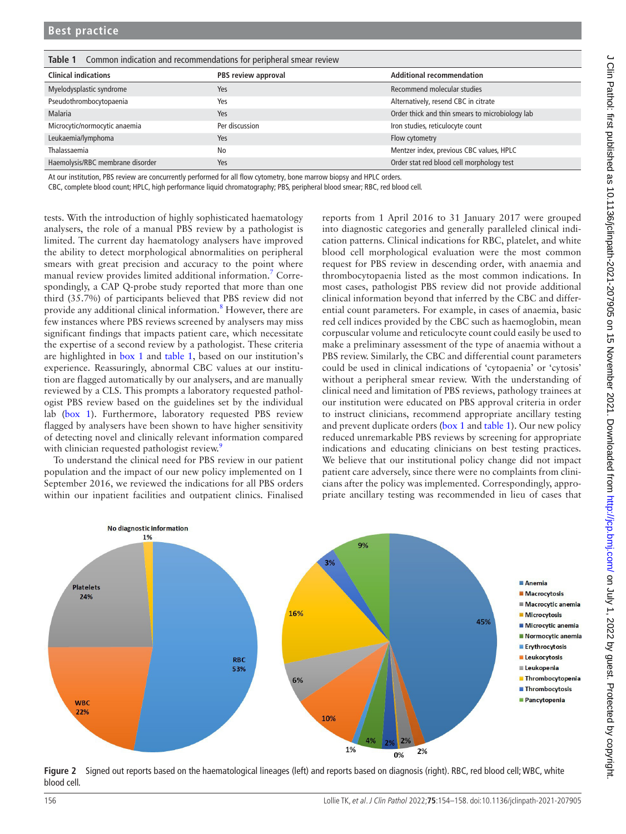<span id="page-2-0"></span>**Table 1** Common indication and recommendations for peripheral smear review

| <b>Clinical indications</b>      | PBS review approval | <b>Additional recommendation</b>                |
|----------------------------------|---------------------|-------------------------------------------------|
| Myelodysplastic syndrome         | Yes                 | Recommend molecular studies                     |
| Pseudothrombocytopaenia          | Yes                 | Alternatively, resend CBC in citrate            |
| Malaria                          | Yes                 | Order thick and thin smears to microbiology lab |
| Microcytic/normocytic anaemia    | Per discussion      | Iron studies, reticulocyte count                |
| Leukaemia/lymphoma               | Yes                 | Flow cytometry                                  |
| Thalassaemia                     | No                  | Mentzer index, previous CBC values, HPLC        |
| Haemolysis/RBC membrane disorder | Yes                 | Order stat red blood cell morphology test       |

At our institution, PBS review are concurrently performed for all flow cytometry, bone marrow biopsy and HPLC orders.

CBC, complete blood count; HPLC, high performance liquid chromatography; PBS, peripheral blood smear; RBC, red blood cell.

tests. With the introduction of highly sophisticated haematology analysers, the role of a manual PBS review by a pathologist is limited. The current day haematology analysers have improved the ability to detect morphological abnormalities on peripheral smears with great precision and accuracy to the point where manual review provides limited additional information.<sup>[7](#page-4-4)</sup> Correspondingly, a CAP Q-probe study reported that more than one third (35.7%) of participants believed that PBS review did not provide any additional clinical information.<sup>[8](#page-4-5)</sup> However, there are few instances where PBS reviews screened by analysers may miss significant findings that impacts patient care, which necessitate the expertise of a second review by a pathologist. These criteria are highlighted in [box](#page-1-1) 1 and [table](#page-2-0) 1, based on our institution's experience. Reassuringly, abnormal CBC values at our institution are flagged automatically by our analysers, and are manually reviewed by a CLS. This prompts a laboratory requested pathologist PBS review based on the guidelines set by the individual lab ([box](#page-1-1) 1). Furthermore, laboratory requested PBS review flagged by analysers have been shown to have higher sensitivity of detecting novel and clinically relevant information compared with clinician requested pathologist review.<sup>[9](#page-4-6)</sup>

To understand the clinical need for PBS review in our patient population and the impact of our new policy implemented on 1 September 2016, we reviewed the indications for all PBS orders within our inpatient facilities and outpatient clinics. Finalised reports from 1 April 2016 to 31 January 2017 were grouped into diagnostic categories and generally paralleled clinical indication patterns. Clinical indications for RBC, platelet, and white blood cell morphological evaluation were the most common request for PBS review in descending order, with anaemia and thrombocytopaenia listed as the most common indications. In most cases, pathologist PBS review did not provide additional clinical information beyond that inferred by the CBC and differential count parameters. For example, in cases of anaemia, basic red cell indices provided by the CBC such as haemoglobin, mean corpuscular volume and reticulocyte count could easily be used to make a preliminary assessment of the type of anaemia without a PBS review. Similarly, the CBC and differential count parameters could be used in clinical indications of 'cytopaenia' or 'cytosis' without a peripheral smear review. With the understanding of clinical need and limitation of PBS reviews, pathology trainees at our institution were educated on PBS approval criteria in order to instruct clinicians, recommend appropriate ancillary testing and prevent duplicate orders [\(box](#page-1-1) 1 and [table](#page-2-0) 1). Our new policy reduced unremarkable PBS reviews by screening for appropriate indications and educating clinicians on best testing practices. We believe that our institutional policy change did not impact patient care adversely, since there were no complaints from clinicians after the policy was implemented. Correspondingly, appropriate ancillary testing was recommended in lieu of cases that



<span id="page-2-1"></span>**Figure 2** Signed out reports based on the haematological lineages (left) and reports based on diagnosis (right). RBC, red blood cell; WBC, white blood cell.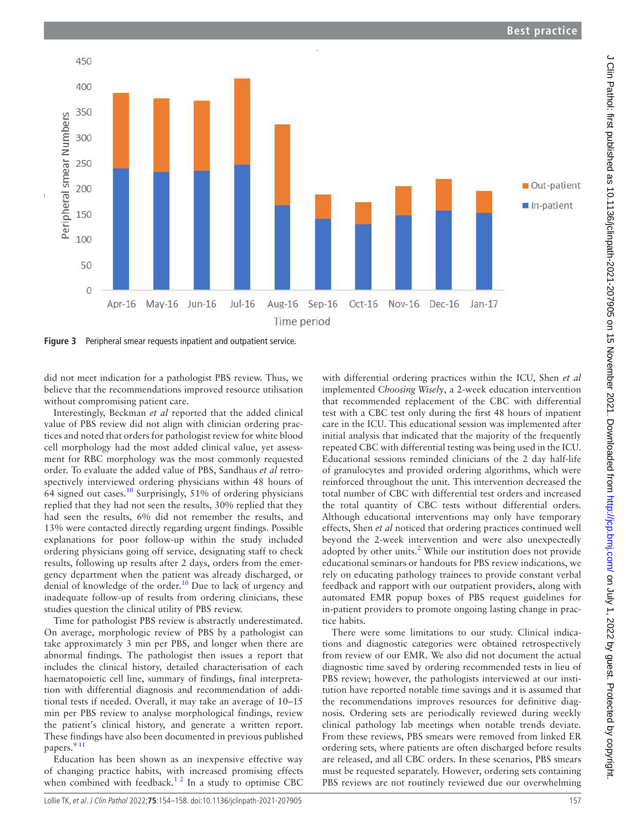with differential ordering practices within the ICU, Shen *et al* implemented *Choosing Wisely*, a 2-week education intervention that recommended replacement of the CBC with differential test with a CBC test only during the first 48 hours of inpatient care in the ICU. This educational session was implemented after initial analysis that indicated that the majority of the frequently repeated CBC with differential testing was being used in the ICU. Educational sessions reminded clinicians of the 2 day half-life of granulocytes and provided ordering algorithms, which were reinforced throughout the unit. This intervention decreased the total number of CBC with differential test orders and increased the total quantity of CBC tests without differential orders. Although educational interventions may only have temporary effects, Shen *et al* noticed that ordering practices continued well beyond the 2-week intervention and were also unexpectedly adopted by other units. $2$  While our institution does not provide educational seminars or handouts for PBS review indications, we rely on educating pathology trainees to provide constant verbal feedback and rapport with our outpatient providers, along with automated EMR popup boxes of PBS request guidelines for in-patient providers to promote ongoing lasting change in practice habits.

There were some limitations to our study. Clinical indications and diagnostic categories were obtained retrospectively from review of our EMR. We also did not document the actual diagnostic time saved by ordering recommended tests in lieu of PBS review; however, the pathologists interviewed at our institution have reported notable time savings and it is assumed that the recommendations improves resources for definitive diagnosis. Ordering sets are periodically reviewed during weekly clinical pathology lab meetings when notable trends deviate. From these reviews, PBS smears were removed from linked ER ordering sets, where patients are often discharged before results are released, and all CBC orders. In these scenarios, PBS smears must be requested separately. However, ordering sets containing PBS reviews are not routinely reviewed due our overwhelming

<span id="page-3-0"></span>**Figure 3** Peripheral smear requests inpatient and outpatient service.

450

400

did not meet indication for a pathologist PBS review. Thus, we believe that the recommendations improved resource utilisation without compromising patient care.

Interestingly, Beckman *et al* reported that the added clinical value of PBS review did not align with clinician ordering practices and noted that orders for pathologist review for white blood cell morphology had the most added clinical value, yet assessment for RBC morphology was the most commonly requested order. To evaluate the added value of PBS, Sandhaus *et al* retrospectively interviewed ordering physicians within 48 hours of 64 signed out cases.[10](#page-4-7) Surprisingly, 51% of ordering physicians replied that they had not seen the results, 30% replied that they had seen the results, 6% did not remember the results, and 13% were contacted directly regarding urgent findings. Possible explanations for poor follow-up within the study included ordering physicians going off service, designating staff to check results, following up results after 2 days, orders from the emergency department when the patient was already discharged, or denial of knowledge of the order.<sup>[10](#page-4-7)</sup> Due to lack of urgency and inadequate follow-up of results from ordering clinicians, these studies question the clinical utility of PBS review.

Time for pathologist PBS review is abstractly underestimated. On average, morphologic review of PBS by a pathologist can take approximately 3 min per PBS, and longer when there are abnormal findings. The pathologist then issues a report that includes the clinical history, detailed characterisation of each haematopoietic cell line, summary of findings, final interpretation with differential diagnosis and recommendation of additional tests if needed. Overall, it may take an average of 10–15 min per PBS review to analyse morphological findings, review the patient's clinical history, and generate a written report. These findings have also been documented in previous published papers.<sup>9</sup><sup>11</sup>

Education has been shown as an inexpensive effective way of changing practice habits, with increased promising effects when combined with feedback.<sup>1 2</sup> In a study to optimise CBC

**Best practice**